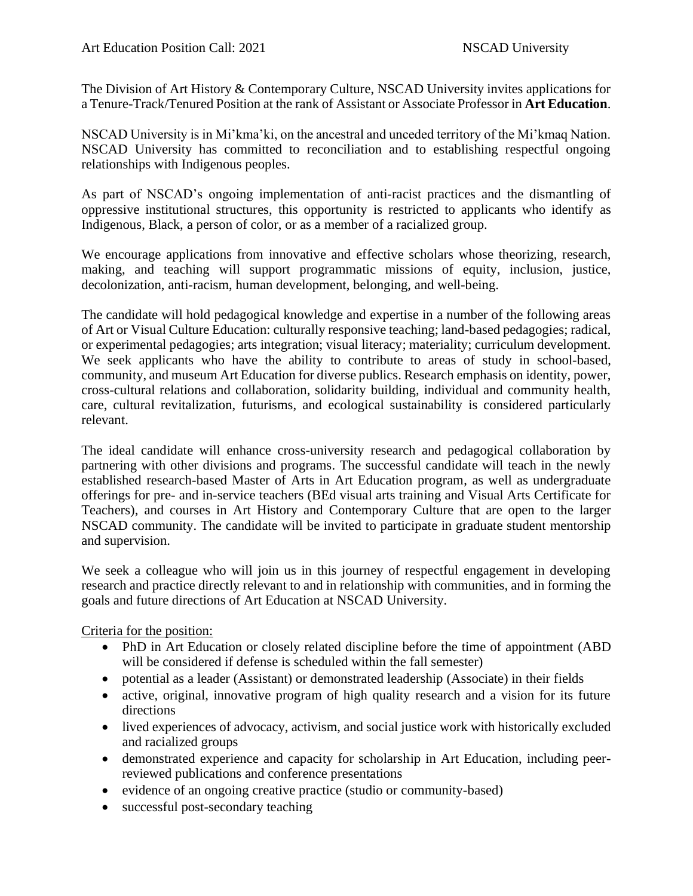The Division of Art History & Contemporary Culture, NSCAD University invites applications for a Tenure-Track/Tenured Position at the rank of Assistant or Associate Professor in **Art Education**.

NSCAD University is in Mi'kma'ki, on the ancestral and unceded territory of the Mi'kmaq Nation. NSCAD University has committed to reconciliation and to establishing respectful ongoing relationships with Indigenous peoples.

As part of NSCAD's ongoing implementation of anti-racist practices and the dismantling of oppressive institutional structures, this opportunity is restricted to applicants who identify as Indigenous, Black, a person of color, or as a member of a racialized group.

We encourage applications from innovative and effective scholars whose theorizing, research, making, and teaching will support programmatic missions of equity, inclusion, justice, decolonization, anti-racism, human development, belonging, and well-being.

The candidate will hold pedagogical knowledge and expertise in a number of the following areas of Art or Visual Culture Education: culturally responsive teaching; land-based pedagogies; radical, or experimental pedagogies; arts integration; visual literacy; materiality; curriculum development. We seek applicants who have the ability to contribute to areas of study in school-based, community, and museum Art Education for diverse publics. Research emphasis on identity, power, cross-cultural relations and collaboration, solidarity building, individual and community health, care, cultural revitalization, futurisms, and ecological sustainability is considered particularly relevant.

The ideal candidate will enhance cross-university research and pedagogical collaboration by partnering with other divisions and programs. The successful candidate will teach in the newly established research-based Master of Arts in Art Education program, as well as undergraduate offerings for pre- and in-service teachers (BEd visual arts training and Visual Arts Certificate for Teachers), and courses in Art History and Contemporary Culture that are open to the larger NSCAD community. The candidate will be invited to participate in graduate student mentorship and supervision.

We seek a colleague who will join us in this journey of respectful engagement in developing research and practice directly relevant to and in relationship with communities, and in forming the goals and future directions of Art Education at NSCAD University.

Criteria for the position:

- PhD in Art Education or closely related discipline before the time of appointment (ABD will be considered if defense is scheduled within the fall semester)
- potential as a leader (Assistant) or demonstrated leadership (Associate) in their fields
- active, original, innovative program of high quality research and a vision for its future directions
- lived experiences of advocacy, activism, and social justice work with historically excluded and racialized groups
- demonstrated experience and capacity for scholarship in Art Education, including peerreviewed publications and conference presentations
- evidence of an ongoing creative practice (studio or community-based)
- successful post-secondary teaching